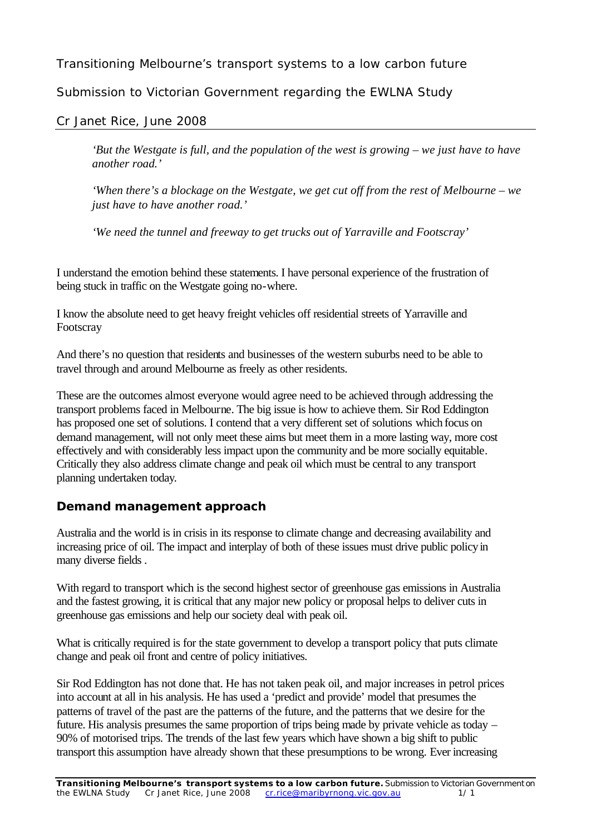# Transitioning Melbourne's transport systems to a low carbon future

Submission to Victorian Government regarding the EWLNA Study

Cr Janet Rice, June 2008

*'But the Westgate is full, and the population of the west is growing – we just have to have another road.'*

*'When there's a blockage on the Westgate, we get cut off from the rest of Melbourne – we just have to have another road.'*

*'We need the tunnel and freeway to get trucks out of Yarraville and Footscray'*

I understand the emotion behind these statements. I have personal experience of the frustration of being stuck in traffic on the Westgate going no-where.

I know the absolute need to get heavy freight vehicles off residential streets of Yarraville and Footscray

And there's no question that residents and businesses of the western suburbs need to be able to travel through and around Melbourne as freely as other residents.

These are the outcomes almost everyone would agree need to be achieved through addressing the transport problems faced in Melbourne. The big issue is how to achieve them. Sir Rod Eddington has proposed one set of solutions. I contend that a very different set of solutions which focus on demand management, will not only meet these aims but meet them in a more lasting way, more cost effectively and with considerably less impact upon the community and be more socially equitable. Critically they also address climate change and peak oil which must be central to any transport planning undertaken today.

# **Demand management approach**

Australia and the world is in crisis in its response to climate change and decreasing availability and increasing price of oil. The impact and interplay of both of these issues must drive public policy in many diverse fields .

With regard to transport which is the second highest sector of greenhouse gas emissions in Australia and the fastest growing, it is critical that any major new policy or proposal helps to deliver cuts in greenhouse gas emissions and help our society deal with peak oil.

What is critically required is for the state government to develop a transport policy that puts climate change and peak oil front and centre of policy initiatives.

Sir Rod Eddington has not done that. He has not taken peak oil, and major increases in petrol prices into account at all in his analysis. He has used a 'predict and provide' model that presumes the patterns of travel of the past are the patterns of the future, and the patterns that we desire for the future. His analysis presumes the same proportion of trips being made by private vehicle as today – 90% of motorised trips. The trends of the last few years which have shown a big shift to public transport this assumption have already shown that these presumptions to be wrong. Ever increasing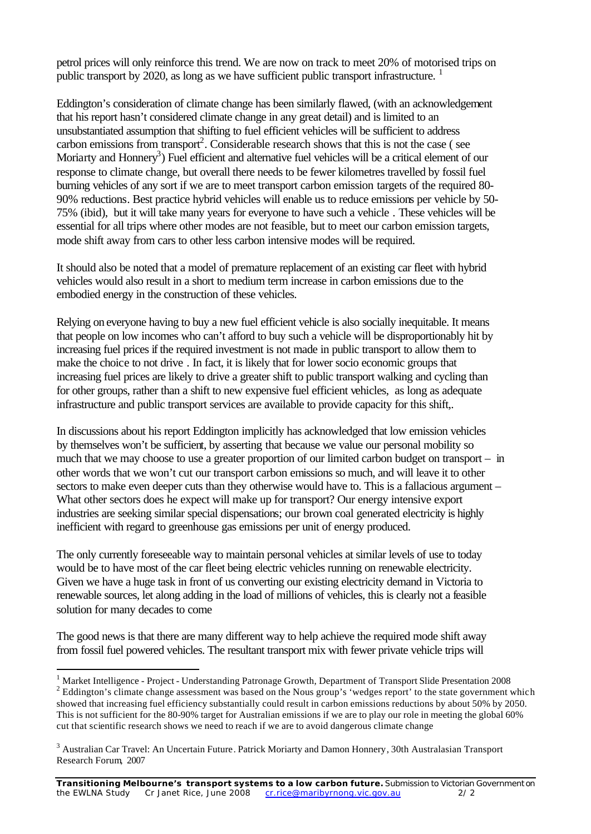petrol prices will only reinforce this trend. We are now on track to meet 20% of motorised trips on public transport by 2020, as long as we have sufficient public transport infrastructure.<sup>1</sup>

Eddington's consideration of climate change has been similarly flawed, (with an acknowledgement that his report hasn't considered climate change in any great detail) and is limited to an unsubstantiated assumption that shifting to fuel efficient vehicles will be sufficient to address carbon emissions from transport<sup>2</sup>. Considerable research shows that this is not the case (see Moriarty and Honnery<sup>3</sup>) Fuel efficient and alternative fuel vehicles will be a critical element of our response to climate change, but overall there needs to be fewer kilometres travelled by fossil fuel burning vehicles of any sort if we are to meet transport carbon emission targets of the required 80- 90% reductions. Best practice hybrid vehicles will enable us to reduce emissions per vehicle by 50- 75% (ibid), but it will take many years for everyone to have such a vehicle . These vehicles will be essential for all trips where other modes are not feasible, but to meet our carbon emission targets, mode shift away from cars to other less carbon intensive modes will be required.

It should also be noted that a model of premature replacement of an existing car fleet with hybrid vehicles would also result in a short to medium term increase in carbon emissions due to the embodied energy in the construction of these vehicles.

Relying on everyone having to buy a new fuel efficient vehicle is also socially inequitable. It means that people on low incomes who can't afford to buy such a vehicle will be disproportionably hit by increasing fuel prices if the required investment is not made in public transport to allow them to make the choice to not drive . In fact, it is likely that for lower socio economic groups that increasing fuel prices are likely to drive a greater shift to public transport walking and cycling than for other groups, rather than a shift to new expensive fuel efficient vehicles, as long as adequate infrastructure and public transport services are available to provide capacity for this shift,.

In discussions about his report Eddington implicitly has acknowledged that low emission vehicles by themselves won't be sufficient, by asserting that because we value our personal mobility so much that we may choose to use a greater proportion of our limited carbon budget on transport – in other words that we won't cut our transport carbon emissions so much, and will leave it to other sectors to make even deeper cuts than they otherwise would have to. This is a fallacious argument – What other sectors does he expect will make up for transport? Our energy intensive export industries are seeking similar special dispensations; our brown coal generated electricity is highly inefficient with regard to greenhouse gas emissions per unit of energy produced.

The only currently foreseeable way to maintain personal vehicles at similar levels of use to today would be to have most of the car fleet being electric vehicles running on renewable electricity. Given we have a huge task in front of us converting our existing electricity demand in Victoria to renewable sources, let along adding in the load of millions of vehicles, this is clearly not a feasible solution for many decades to come

The good news is that there are many different way to help achieve the required mode shift away from fossil fuel powered vehicles. The resultant transport mix with fewer private vehicle trips will

l <sup>1</sup> Market Intelligence - Project - Understanding Patronage Growth, Department of Transport Slide Presentation 2008  $2^2$  Eddington's climate change assessment was based on the Nous group's 'wedges report' to the state government which showed that increasing fuel efficiency substantially could result in carbon emissions reductions by about 50% by 2050. This is not sufficient for the 80-90% target for Australian emissions if we are to play our role in meeting the global 60% cut that scientific research shows we need to reach if we are to avoid dangerous climate change

<sup>&</sup>lt;sup>3</sup> Australian Car Travel: An Uncertain Future. Patrick Moriarty and Damon Honnery, 30th Australasian Transport Research Forum, 2007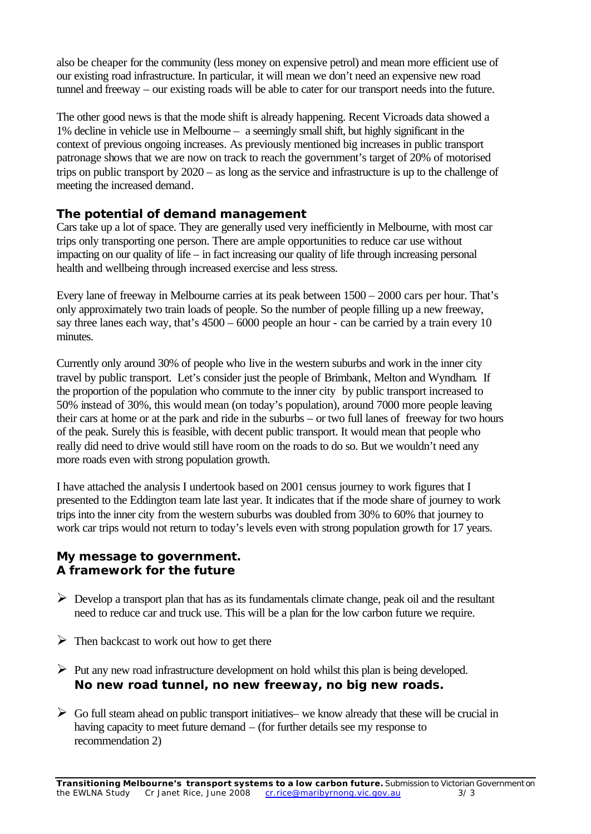also be cheaper for the community (less money on expensive petrol) and mean more efficient use of our existing road infrastructure. In particular, it will mean we don't need an expensive new road tunnel and freeway – our existing roads will be able to cater for our transport needs into the future.

The other good news is that the mode shift is already happening. Recent Vicroads data showed a 1% decline in vehicle use in Melbourne – a seemingly small shift, but highly significant in the context of previous ongoing increases. As previously mentioned big increases in public transport patronage shows that we are now on track to reach the government's target of 20% of motorised trips on public transport by 2020 – as long as the service and infrastructure is up to the challenge of meeting the increased demand.

## **The potential of demand management**

Cars take up a lot of space. They are generally used very inefficiently in Melbourne, with most car trips only transporting one person. There are ample opportunities to reduce car use without impacting on our quality of life – in fact increasing our quality of life through increasing personal health and wellbeing through increased exercise and less stress.

Every lane of freeway in Melbourne carries at its peak between 1500 – 2000 cars per hour. That's only approximately two train loads of people. So the number of people filling up a new freeway, say three lanes each way, that's 4500 – 6000 people an hour - can be carried by a train every 10 minutes.

Currently only around 30% of people who live in the western suburbs and work in the inner city travel by public transport. Let's consider just the people of Brimbank, Melton and Wyndham. If the proportion of the population who commute to the inner city by public transport increased to 50% instead of 30%, this would mean (on today's population), around 7000 more people leaving their cars at home or at the park and ride in the suburbs – or two full lanes of freeway for two hours of the peak. Surely this is feasible, with decent public transport. It would mean that people who really did need to drive would still have room on the roads to do so. But we wouldn't need any more roads even with strong population growth.

I have attached the analysis I undertook based on 2001 census journey to work figures that I presented to the Eddington team late last year. It indicates that if the mode share of journey to work trips into the inner city from the western suburbs was doubled from 30% to 60% that journey to work car trips would not return to today's levels even with strong population growth for 17 years.

## **My message to government. A framework for the future**

- $\triangleright$  Develop a transport plan that has as its fundamentals climate change, peak oil and the resultant need to reduce car and truck use. This will be a plan for the low carbon future we require.
- $\triangleright$  Then backcast to work out how to get there
- $\triangleright$  Put any new road infrastructure development on hold whilst this plan is being developed. **No new road tunnel, no new freeway, no big new roads.**
- $\triangleright$  Go full steam ahead on public transport initiatives– we know already that these will be crucial in having capacity to meet future demand – (for further details see my response to recommendation 2)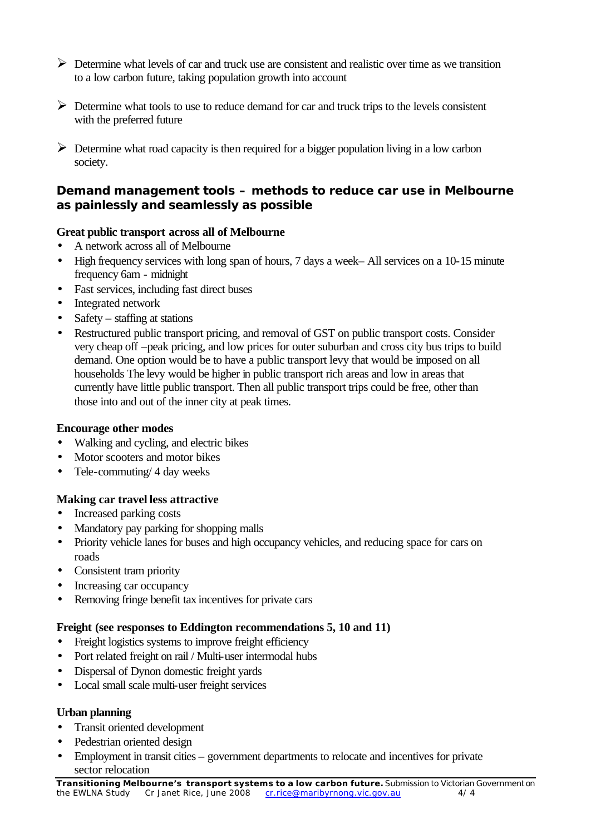- $\triangleright$  Determine what levels of car and truck use are consistent and realistic over time as we transition to a low carbon future, taking population growth into account
- $\triangleright$  Determine what tools to use to reduce demand for car and truck trips to the levels consistent with the preferred future
- $\triangleright$  Determine what road capacity is then required for a bigger population living in a low carbon society.

## **Demand management tools – methods to reduce car use in Melbourne as painlessly and seamlessly as possible**

## **Great public transport across all of Melbourne**

- A network across all of Melbourne
- High frequency services with long span of hours, 7 days a week– All services on a 10-15 minute frequency 6am - midnight
- Fast services, including fast direct buses
- Integrated network
- Safety staffing at stations
- Restructured public transport pricing, and removal of GST on public transport costs. Consider very cheap off –peak pricing, and low prices for outer suburban and cross city bus trips to build demand. One option would be to have a public transport levy that would be imposed on all households The levy would be higher in public transport rich areas and low in areas that currently have little public transport. Then all public transport trips could be free, other than those into and out of the inner city at peak times.

## **Encourage other modes**

- Walking and cycling, and electric bikes
- Motor scooters and motor bikes
- Tele-commuting/ 4 day weeks

# **Making car travel less attractive**

- Increased parking costs
- Mandatory pay parking for shopping malls
- Priority vehicle lanes for buses and high occupancy vehicles, and reducing space for cars on roads
- Consistent tram priority
- Increasing car occupancy
- Removing fringe benefit tax incentives for private cars

## **Freight (see responses to Eddington recommendations 5, 10 and 11)**

- Freight logistics systems to improve freight efficiency
- Port related freight on rail / Multi-user intermodal hubs
- Dispersal of Dynon domestic freight yards
- Local small scale multi-user freight services

## **Urban planning**

- Transit oriented development
- Pedestrian oriented design
- Employment in transit cities government departments to relocate and incentives for private sector relocation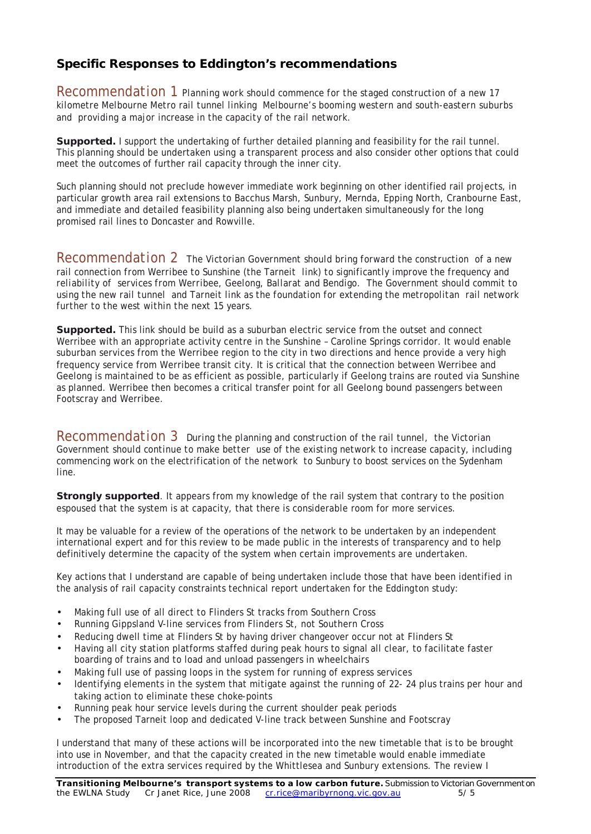# **Specific Responses to Eddington's recommendations**

*Recommendation 1 Planning work should commence for the staged construction of a new 17 kilometre Melbourne Metro rail tunnel linking Melbourne's booming western and south-eastern suburbs and providing a major increase in the capacity of the rail network.* 

**Supported.** I support the undertaking of further detailed planning and feasibility for the rail tunnel. This planning should be undertaken using a transparent process and also consider other options that could meet the outcomes of further rail capacity through the inner city.

Such planning should not preclude however immediate work beginning on other identified rail projects, in particular growth area rail extensions to Bacchus Marsh, Sunbury, Mernda, Epping North, Cranbourne East, and immediate and detailed feasibility planning also being undertaken simultaneously for the long promised rail lines to Doncaster and Rowville.

*Recommendation 2 The Victorian Government should bring forward the construction of a new rail connection from Werribee to Sunshine (the Tarneit link) to significantly improve the frequency and reliability of services from Werribee, Geelong, Ballarat and Bendigo. The Government should commit to using the new rail tunnel and Tarneit link as the foundation for extending the metropolitan rail network further to the west within the next 15 years.* 

**Supported.** This link should be build as a suburban electric service from the outset and connect Werribee with an appropriate activity centre in the Sunshine – Caroline Springs corridor. It would enable suburban services from the Werribee region to the city in two directions and hence provide a very high frequency service from Werribee transit city. It is critical that the connection between Werribee and Geelong is maintained to be as efficient as possible, particularly if Geelong trains are routed via Sunshine as planned. Werribee then becomes a critical transfer point for all Geelong bound passengers between Footscray and Werribee.

*Recommendation 3 During the planning and construction of the rail tunnel, the Victorian Government should continue to make better use of the existing network to increase capacity, including commencing work on the electrification of the network to Sunbury to boost services on the Sydenham line.* 

**Strongly supported**. It appears from my knowledge of the rail system that contrary to the position espoused that the system is at capacity, that there is considerable room for more services.

It may be valuable for a review of the operations of the network to be undertaken by an independent international expert and for this review to be made public in the interests of transparency and to help definitively determine the capacity of the system when certain improvements are undertaken.

Key actions that I understand are capable of being undertaken include those that have been identified in the analysis of rail capacity constraints technical report undertaken for the Eddington study:

- Making full use of all direct to Flinders St tracks from Southern Cross
- Running Gippsland V-line services from Flinders St, not Southern Cross
- Reducing dwell time at Flinders St by having driver changeover occur not at Flinders St
- Having all city station platforms staffed during peak hours to signal all clear, to facilitate faster boarding of trains and to load and unload passengers in wheelchairs
- Making full use of passing loops in the system for running of express services
- Identifying elements in the system that mitigate against the running of 22-24 plus trains per hour and taking action to eliminate these choke-points
- Running peak hour service levels during the current shoulder peak periods
- The proposed Tarneit loop and dedicated V-line track between Sunshine and Footscray

I understand that many of these actions will be incorporated into the new timetable that is to be brought into use in November, and that the capacity created in the new timetable would enable immediate introduction of the extra services required by the Whittlesea and Sunbury extensions. The review I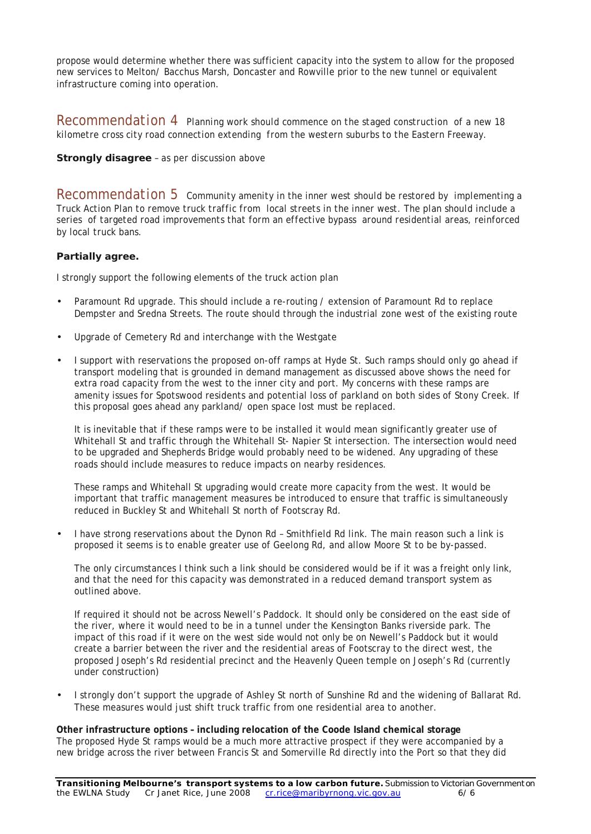propose would determine whether there was sufficient capacity into the system to allow for the proposed new services to Melton/ Bacchus Marsh, Doncaster and Rowville prior to the new tunnel or equivalent infrastructure coming into operation.

*Recommendation 4 Planning work should commence on the staged construction of a new 18 kilometre cross city road connection extending from the western suburbs to the Eastern Freeway.* 

#### **Strongly disagree** – as per discussion above

*Recommendation 5 Community amenity in the inner west should be restored by implementing a Truck Action Plan to remove truck traffic from local streets in the inner west. The plan should include a series of targeted road improvements that form an effective bypass around residential areas, reinforced by local truck bans.* 

#### **Partially agree.**

I strongly support the following elements of the truck action plan

- Paramount Rd upgrade. This should include a re-routing / extension of Paramount Rd to replace Dempster and Sredna Streets. The route should through the industrial zone west of the existing route
- Upgrade of Cemetery Rd and interchange with the Westgate
- I support with reservations the proposed on-off ramps at Hyde St. Such ramps should only go ahead if transport modeling that is grounded in demand management as discussed above shows the need for extra road capacity from the west to the inner city and port. My concerns with these ramps are amenity issues for Spotswood residents and potential loss of parkland on both sides of Stony Creek. If this proposal goes ahead any parkland/ open space lost must be replaced.

It is inevitable that if these ramps were to be installed it would mean significantly greater use of Whitehall St and traffic through the Whitehall St- Napier St intersection. The intersection would need to be upgraded and Shepherds Bridge would probably need to be widened. Any upgrading of these roads should include measures to reduce impacts on nearby residences.

These ramps and Whitehall St upgrading would create more capacity from the west. It would be important that traffic management measures be introduced to ensure that traffic is simultaneously reduced in Buckley St and Whitehall St north of Footscray Rd.

• I have strong reservations about the Dynon Rd – Smithfield Rd link. The main reason such a link is proposed it seems is to enable greater use of Geelong Rd, and allow Moore St to be by-passed.

The only circumstances I think such a link should be considered would be if it was a freight only link, and that the need for this capacity was demonstrated in a reduced demand transport system as outlined above.

If required it should not be across Newell's Paddock. It should only be considered on the east side of the river, where it would need to be in a tunnel under the Kensington Banks riverside park. The impact of this road if it were on the west side would not only be on Newell's Paddock but it would create a barrier between the river and the residential areas of Footscray to the direct west, the proposed Joseph's Rd residential precinct and the Heavenly Queen temple on Joseph's Rd (currently under construction)

• I strongly don't support the upgrade of Ashley St north of Sunshine Rd and the widening of Ballarat Rd. These measures would just shift truck traffic from one residential area to another.

#### **Other infrastructure options – including relocation of the Coode Island chemical storage** The proposed Hyde St ramps would be a much more attractive prospect if they were accompanied by a new bridge across the river between Francis St and Somerville Rd directly into the Port so that they did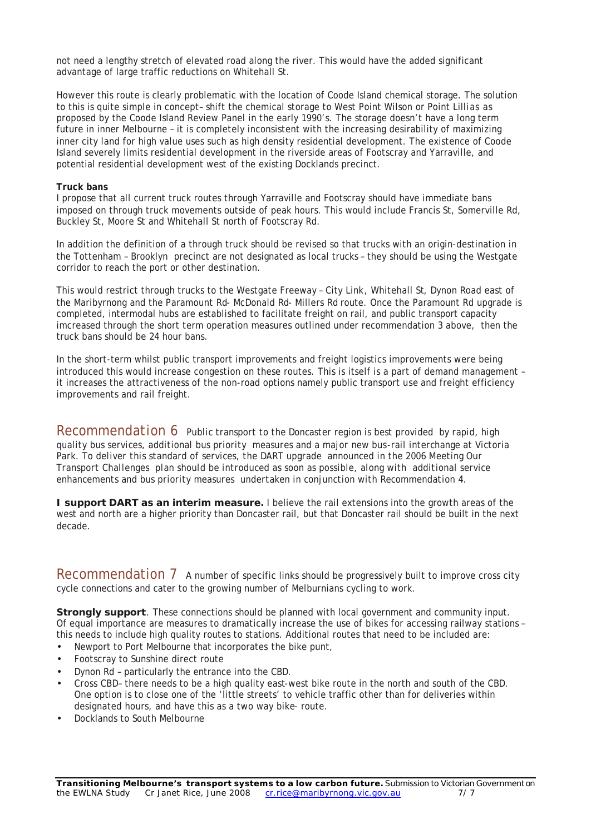not need a lengthy stretch of elevated road along the river. This would have the added significant advantage of large traffic reductions on Whitehall St.

However this route is clearly problematic with the location of Coode Island chemical storage. The solution to this is quite simple in concept– shift the chemical storage to West Point Wilson or Point Lillias as proposed by the Coode Island Review Panel in the early 1990's. The storage doesn't have a long term future in inner Melbourne – it is completely inconsistent with the increasing desirability of maximizing inner city land for high value uses such as high density residential development. The existence of Coode Island severely limits residential development in the riverside areas of Footscray and Yarraville, and potential residential development west of the existing Docklands precinct.

#### **Truck bans**

I propose that all current truck routes through Yarraville and Footscray should have immediate bans imposed on through truck movements outside of peak hours. This would include Francis St, Somerville Rd, Buckley St, Moore St and Whitehall St north of Footscray Rd.

In addition the definition of a through truck should be revised so that trucks with an origin-destination in the Tottenham – Brooklyn precinct are not designated as local trucks – they should be using the Westgate corridor to reach the port or other destination.

This would restrict through trucks to the Westgate Freeway – City Link, Whitehall St, Dynon Road east of the Maribyrnong and the Paramount Rd- McDonald Rd- Millers Rd route. Once the Paramount Rd upgrade is completed, intermodal hubs are established to facilitate freight on rail, and public transport capacity imcreased through the short term operation measures outlined under recommendation 3 above, then the truck bans should be 24 hour bans.

In the short-term whilst public transport improvements and freight logistics improvements were being introduced this would increase congestion on these routes. This is itself is a part of demand management – it increases the attractiveness of the non-road options namely public transport use and freight efficiency improvements and rail freight.

*Recommendation 6 Public transport to the Doncaster region is best provided by rapid, high quality bus services, additional bus priority measures and a major new bus-rail interchange at Victoria Park. To deliver this standard of services, the DART upgrade announced in the 2006 Meeting Our Transport Challenges plan should be introduced as soon as possible, along with additional service enhancements and bus priority measures undertaken in conjunction with Recommendation 4.* 

**I support DART as an interim measure.** I believe the rail extensions into the growth areas of the west and north are a higher priority than Doncaster rail, but that Doncaster rail should be built in the next decade.

Recommendation 7 A number of specific links should be progressively built to improve cross city cycle connections and cater to the growing number of Melburnians cycling to work.

**Strongly support**. These connections should be planned with local government and community input. Of equal importance are measures to dramatically increase the use of bikes for accessing railway stations – this needs to include high quality routes to stations. Additional routes that need to be included are:

- Newport to Port Melbourne that incorporates the bike punt,
- Footscray to Sunshine direct route
- Dynon Rd particularly the entrance into the CBD.
- Cross CBD– there needs to be a high quality east-west bike route in the north and south of the CBD. One option is to close one of the 'little streets' to vehicle traffic other than for deliveries within designated hours, and have this as a two way bike- route.
- Docklands to South Melbourne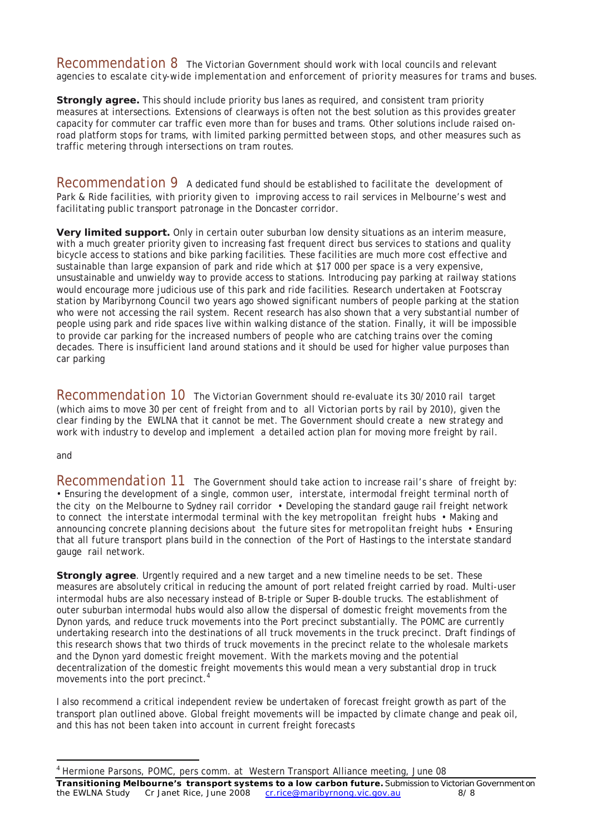*Recommendation 8 The Victorian Government should work with local councils and relevant agencies to escalate city-wide implementation and enforcement of priority measures for trams and buses.* 

**Strongly agree.** This should include priority bus lanes as required, and consistent tram priority measures at intersections. Extensions of clearways is often not the best solution as this provides greater capacity for commuter car traffic even more than for buses and trams. Other solutions include raised onroad platform stops for trams, with limited parking permitted between stops, and other measures such as traffic metering through intersections on tram routes.

*Recommendation 9 A dedicated fund should be established to facilitate the development of Park & Ride facilities, with priority given to improving access to rail services in Melbourne's west and facilitating public transport patronage in the Doncaster corridor.* 

**Very limited support.** Only in certain outer suburban low density situations as an interim measure, with a much greater priority given to increasing fast frequent direct bus services to stations and quality bicycle access to stations and bike parking facilities. These facilities are much more cost effective and sustainable than large expansion of park and ride which at \$17 000 per space is a very expensive, unsustainable and unwieldy way to provide access to stations. Introducing pay parking at railway stations would encourage more judicious use of this park and ride facilities. Research undertaken at Footscray station by Maribyrnong Council two years ago showed significant numbers of people parking at the station who were not accessing the rail system. Recent research has also shown that a very substantial number of people using park and ride spaces live within walking distance of the station. Finally, it will be impossible to provide car parking for the increased numbers of people who are catching trains over the coming decades. There is insufficient land around stations and it should be used for higher value purposes than car parking

*Recommendation 10 The Victorian Government should re-evaluate its 30/2010 rail target (which aims to move 30 per cent of freight from and to all Victorian ports by rail by 2010), given the clear finding by the EWLNA that it cannot be met. The Government should create a new strategy and work with industry to develop and implement a detailed action plan for moving more freight by rail.* 

#### *and*

l

*Recommendation 11 The Government should take action to increase rail's share of freight by: • Ensuring the development of a single, common user, interstate, intermodal freight terminal north of the city on the Melbourne to Sydney rail corridor • Developing the standard gauge rail freight network to connect the interstate intermodal terminal with the key metropolitan freight hubs • Making and announcing concrete planning decisions about the future sites for metropolitan freight hubs • Ensuring that all future transport plans build in the connection of the Port of Hastings to the interstate standard gauge rail network.* 

**Strongly agree**. Urgently required and a new target and a new timeline needs to be set. These measures are absolutely critical in reducing the amount of port related freight carried by road. Multi-user intermodal hubs are also necessary instead of B-triple or Super B-double trucks. The establishment of outer suburban intermodal hubs would also allow the dispersal of domestic freight movements from the Dynon yards, and reduce truck movements into the Port precinct substantially. The POMC are currently undertaking research into the destinations of all truck movements in the truck precinct. Draft findings of this research shows that two thirds of truck movements in the precinct relate to the wholesale markets and the Dynon yard domestic freight movement. With the markets moving and the potential decentralization of the domestic freight movements this would mean a very substantial drop in truck movements into the port precinct.<sup>4</sup>

I also recommend a critical independent review be undertaken of forecast freight growth as part of the transport plan outlined above. Global freight movements will be impacted by climate change and peak oil, and this has not been taken into account in current freight forecasts

<sup>&</sup>lt;sup>4</sup> Hermione Parsons, POMC, pers comm. at Western Transport Alliance meeting, June 08

**Transitioning Melbourne's transport systems to a low carbon future.** Submission to Victorian Government on the EWLNA Study Cr Janet Rice, June 2008 cr.rice@maribyrnong.vic.gov.au 8/8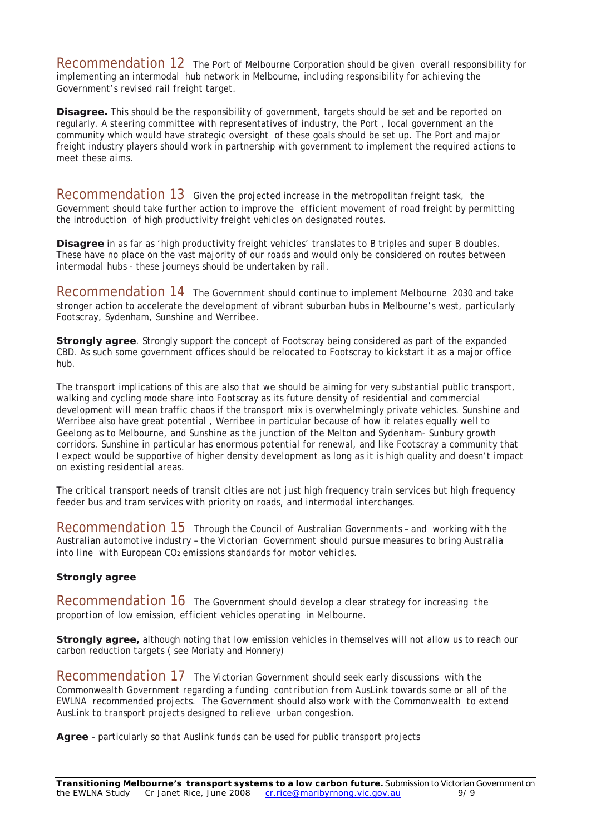Recommendation 12 The Port of Melbourne Corporation should be given overall responsibility for implementing an intermodal hub network in Melbourne, including responsibility for achieving the Government's revised rail freight target.

**Disagree.** This should be the responsibility of government, targets should be set and be reported on regularly. A steering committee with representatives of industry, the Port , local government an the community which would have strategic oversight of these goals should be set up. The Port and major freight industry players should work in partnership with government to implement the required actions to meet these aims.

Recommendation 13 Given the projected increase in the metropolitan freight task, the Government should take further action to improve the efficient movement of road freight by permitting the introduction of high productivity freight vehicles on designated routes.

**Disagree** in as far as 'high productivity freight vehicles' translates to B triples and super B doubles. These have no place on the vast majority of our roads and would only be considered on routes between intermodal hubs - these journeys should be undertaken by rail.

Recommendation 14 The Government should continue to implement *Melbourne 2030* and take stronger action to accelerate the development of vibrant suburban hubs in Melbourne's west, particularly Footscray, Sydenham, Sunshine and Werribee.

**Strongly agree**. Strongly support the concept of Footscray being considered as part of the expanded CBD. As such some government offices should be relocated to Footscray to kickstart it as a major office hub.

The transport implications of this are also that we should be aiming for very substantial public transport, walking and cycling mode share into Footscray as its future density of residential and commercial development will mean traffic chaos if the transport mix is overwhelmingly private vehicles. Sunshine and Werribee also have great potential , Werribee in particular because of how it relates equally well to Geelong as to Melbourne, and Sunshine as the junction of the Melton and Sydenham- Sunbury growth corridors. Sunshine in particular has enormous potential for renewal, and like Footscray a community that I expect would be supportive of higher density development as long as it is high quality and doesn't impact on existing residential areas.

The critical transport needs of transit cities are not just high frequency train services but high frequency feeder bus and tram services with priority on roads, and intermodal interchanges.

*Recommendation 15 Through the Council of Australian Governments – and working with the Australian automotive industry – the Victorian Government should pursue measures to bring Australia into line with European CO2 emissions standards for motor vehicles.* 

#### **Strongly agree**

*Recommendation 16 The Government should develop a clear strategy for increasing the proportion of low emission, efficient vehicles operating in Melbourne.* 

**Strongly agree,** although noting that low emission vehicles in themselves will not allow us to reach our carbon reduction targets ( see Moriaty and Honnery)

*Recommendation 17 The Victorian Government should seek early discussions with the Commonwealth Government regarding a funding contribution from AusLink towards some or all of the EWLNA recommended projects. The Government should also work with the Commonwealth to extend AusLink to transport projects designed to relieve urban congestion.* 

**Agree** – particularly so that Auslink funds can be used for public transport projects